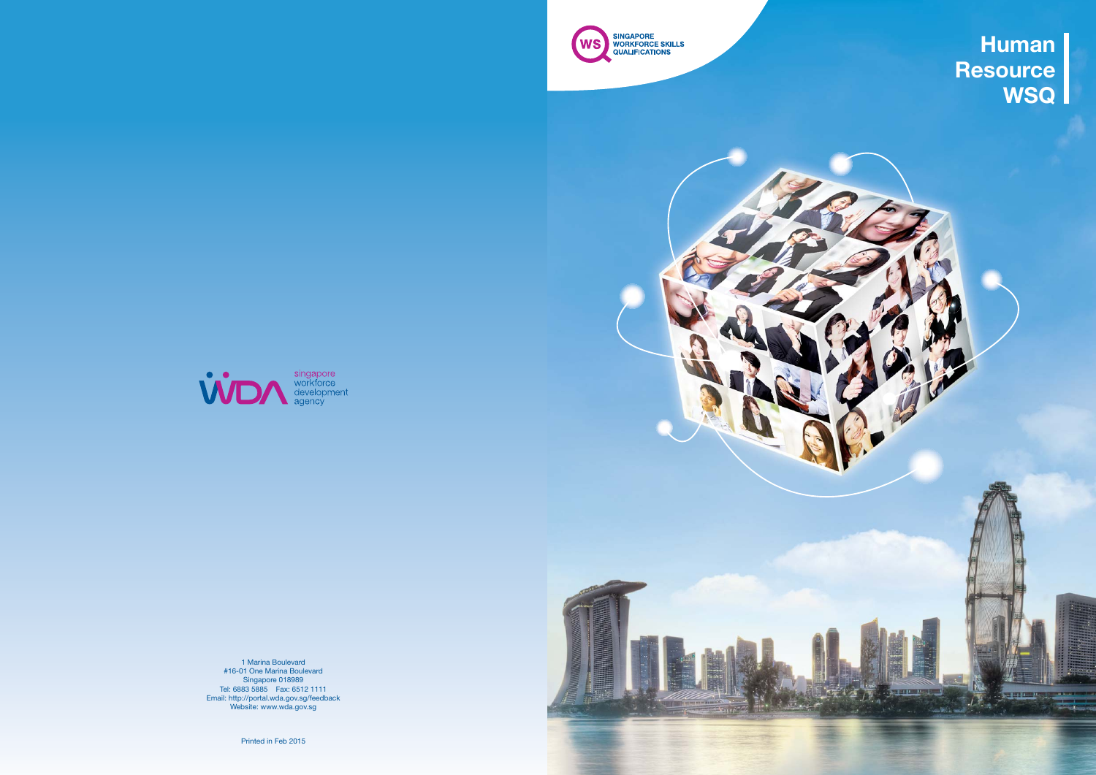

1 Marina Boulevard #16-01 One Marina Boulevard Singapore 018989 Tel: 6883 5885 Fax: 6512 1111 Email: http://portal.wda.gov.sg/feedback Website: www.wda.gov.sg

Printed in Feb 2015





**Human Resource WSQ**

**County** 

<del>elect</del>ron

 $\mathcal{L}$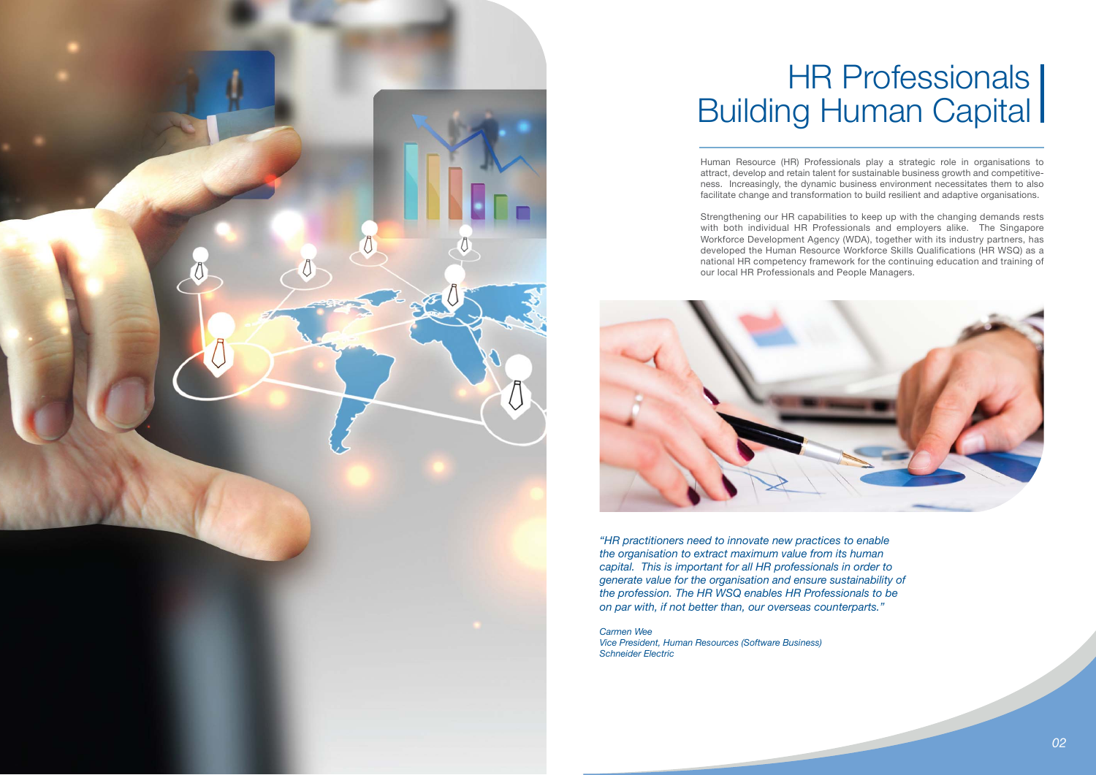Human Resource (HR) Professionals play a strategic role in organisations to attract, develop and retain talent for sustainable business growth and competitiveness. Increasingly, the dynamic business environment necessitates them to also facilitate change and transformation to build resilient and adaptive organisations.

Strengthening our HR capabilities to keep up with the changing demands rests with both individual HR Professionals and employers alike. The Singapore Workforce Development Agency (WDA), together with its industry partners, has developed the Human Resource Workforce Skills Qualifications (HR WSQ) as a national HR competency framework for the continuing education and training of our local HR Professionals and People Managers.



*"HR practitioners need to innovate new practices to enable the organisation to extract maximum value from its human capital. This is important for all HR professionals in order to generate value for the organisation and ensure sustainability of the profession. The HR WSQ enables HR Professionals to be on par with, if not better than, our overseas counterparts."*

*Carmen Wee*

*Vice President, Human Resources (Software Business) Schneider Electric*



### Building Human Capital HR Professionals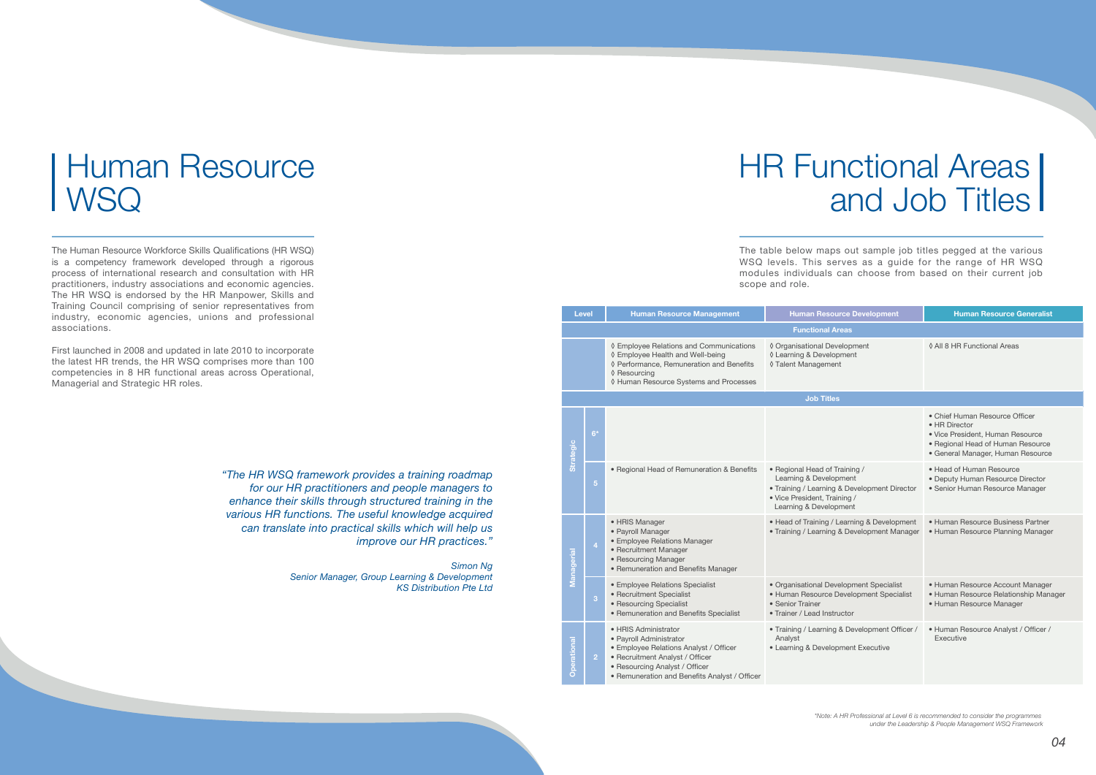The Human Resource Workforce Skills Qualifications (HR WSQ) is a competency framework developed through a rigorous process of international research and consultation with HR practitioners, industry associations and economic agencies. The HR WSQ is endorsed by the HR Manpower, Skills and Training Council comprising of senior representatives from industry, economic agencies, unions and professional associations.

#### **WSQ** Human Resource

First launched in 2008 and updated in late 2010 to incorporate the latest HR trends, the HR WSQ comprises more than 100 competencies in 8 HR functional areas across Operational, Managerial and Strategic HR roles.

> *"The HR WSQ framework provides a training roadmap for our HR practitioners and people managers to enhance their skills through structured training in the various HR functions. The useful knowledge acquired can translate into practical skills which will help us improve our HR practices."*

> > *Simon Ng Senior Manager, Group Learning & Development KS Distribution Pte Ltd*

## and Job Titles **HR Functional Areas**

| <b>Level</b>     |                         | <b>Human Resource Management</b>                                                                                                                                                                                | <b>Human Resource Development</b>                                                                                                                                 | <b>Human Resource Generalist</b>                                                                                                                              |  |  |  |  |  |
|------------------|-------------------------|-----------------------------------------------------------------------------------------------------------------------------------------------------------------------------------------------------------------|-------------------------------------------------------------------------------------------------------------------------------------------------------------------|---------------------------------------------------------------------------------------------------------------------------------------------------------------|--|--|--|--|--|
|                  | <b>Functional Areas</b> |                                                                                                                                                                                                                 |                                                                                                                                                                   |                                                                                                                                                               |  |  |  |  |  |
|                  |                         | ◊ Employee Relations and Communications<br>◊ Employee Health and Well-being<br>◊ Performance, Remuneration and Benefits<br>♦ Resourcing<br>◊ Human Resource Systems and Processes                               | ◊ Organisational Development<br>◊ Learning & Development<br>◊ Talent Management                                                                                   | 0 All 8 HR Functional Areas                                                                                                                                   |  |  |  |  |  |
|                  | <b>Job Titles</b>       |                                                                                                                                                                                                                 |                                                                                                                                                                   |                                                                                                                                                               |  |  |  |  |  |
| <b>Strategic</b> | $6*$                    |                                                                                                                                                                                                                 |                                                                                                                                                                   | • Chief Human Resource Officer<br>• HR Director<br>• Vice President, Human Resource<br>• Regional Head of Human Resource<br>· General Manager, Human Resource |  |  |  |  |  |
|                  | $\overline{5}$          | · Regional Head of Remuneration & Benefits                                                                                                                                                                      | • Regional Head of Training /<br>Learning & Development<br>• Training / Learning & Development Director<br>• Vice President, Training /<br>Learning & Development | • Head of Human Resource<br>• Deputy Human Resource Director<br>• Senior Human Resource Manager                                                               |  |  |  |  |  |
| Managerial       | 4                       | • HRIS Manager<br>• Payroll Manager<br>• Employee Relations Manager<br>• Recruitment Manager<br>• Resourcing Manager<br>• Remuneration and Benefits Manager                                                     | • Head of Training / Learning & Development<br>• Training / Learning & Development Manager                                                                        | • Human Resource Business Partner<br>• Human Resource Planning Manager                                                                                        |  |  |  |  |  |
|                  | 3                       | • Employee Relations Specialist<br>• Recruitment Specialist<br>• Resourcing Specialist<br>• Remuneration and Benefits Specialist                                                                                | · Organisational Development Specialist<br>• Human Resource Development Specialist<br>• Senior Trainer<br>• Trainer / Lead Instructor                             | • Human Resource Account Manager<br>· Human Resource Relationship Manager<br>• Human Resource Manager                                                         |  |  |  |  |  |
| erational<br>O   | $\overline{2}$          | · HRIS Administrator<br>· Payroll Administrator<br>• Employee Relations Analyst / Officer<br>• Recruitment Analyst / Officer<br>• Resourcing Analyst / Officer<br>• Remuneration and Benefits Analyst / Officer | • Training / Learning & Development Officer /<br>Analyst<br>• Learning & Development Executive                                                                    | · Human Resource Analyst / Officer /<br>Executive                                                                                                             |  |  |  |  |  |

The table below maps out sample job titles pegged at the various WSQ levels. This serves as a guide for the range of HR WSQ modules individuals can choose from based on their current job

scope and role.

*\*Note: A HR Professional at Level 6 is recommended to consider the programmes under the Leadership & People Management WSQ Framework*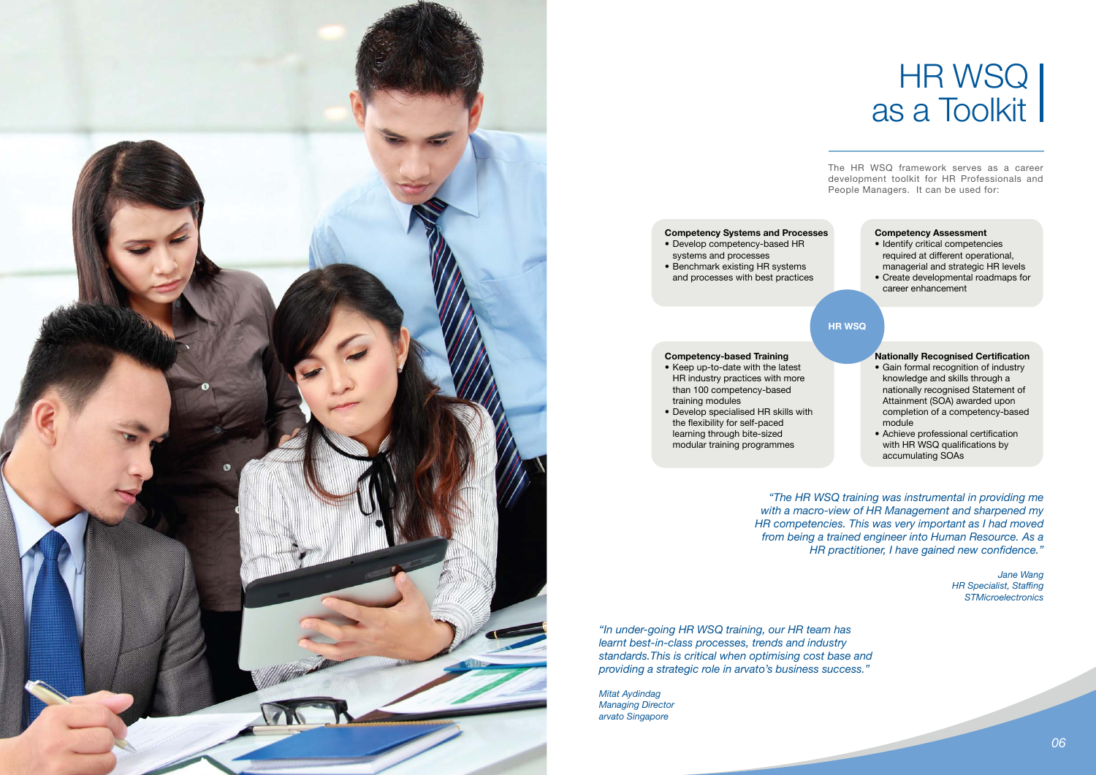### as a Toolkit HR WSQ

*"The HR WSQ training was instrumental in providing me with a macro-view of HR Management and sharpened my HR competencies. This was very important as I had moved from being a trained engineer into Human Resource. As a HR practitioner, I have gained new confidence."*

> *Jane Wang HR Specialist, Staffing STMicroelectronics*

*"In under-going HR WSQ training, our HR team has learnt best-in-class processes, trends and industry standards.This is critical when optimising cost base and providing a strategic role in arvato's business success."*

*Mitat Aydindag Managing Director arvato Singapore*

The HR WSQ framework serves as a career development toolkit for HR Professionals and People Managers. It can be used for:



#### **Competency Systems and Processes**

- Develop competency-based HR systems and processes
- Benchmark existing HR systems and processes with best practices

#### **Competency-based Training**

- Keep up-to-date with the latest HR industry practices with more than 100 competency-based training modules
- Develop specialised HR skills with the flexibility for self-paced learning through bite-sized modular training programmes

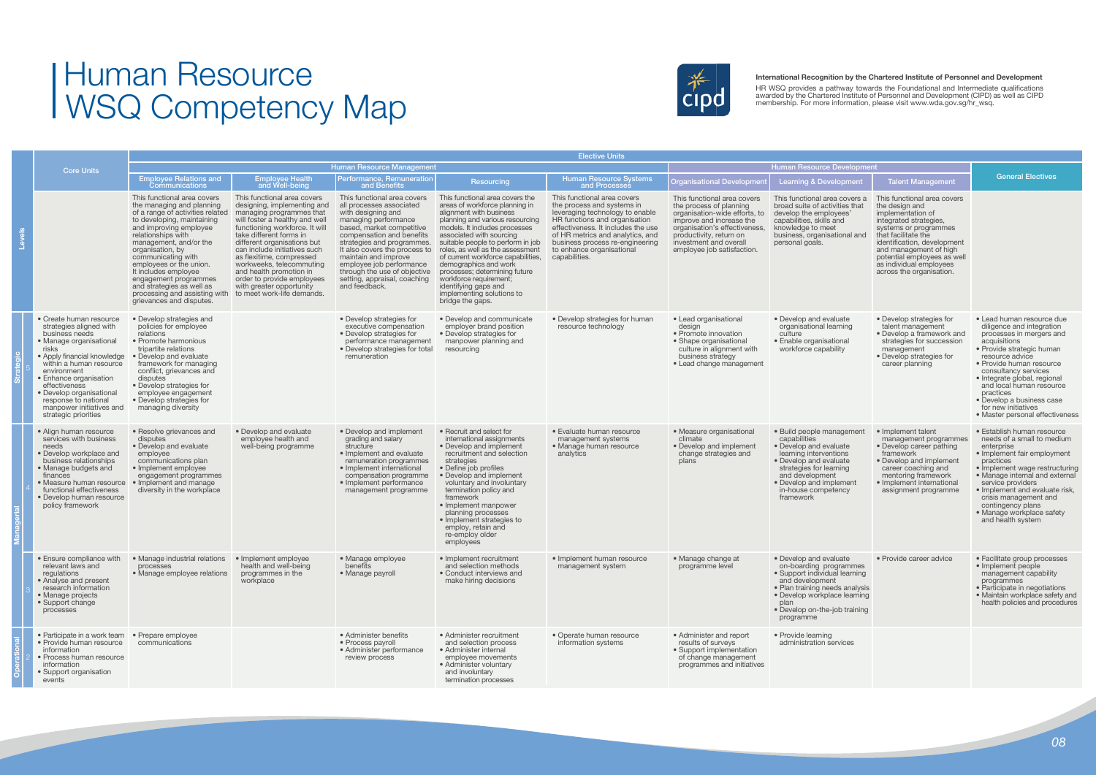### WSQ Competency Map Human Resource



|  | <b>Core Units</b>                                                                                                                                                                                                                                                                                                                    | <b>Elective Units</b>                                                                                                                                                                                                                                                                                                                                                                                                |                                                                                                                                                                                                                                                                                                                                                                                                                                 |                                                                                                                                                                                                                                                                                                                                                                     |                                                                                                                                                                                                                                                                                                                                                                                                                                                                          |                                                                                                                                                                                                                                                                                          |                                                                                                                                                                                                                                         |                                                                                                                                                                                                                                      |                                                                                                                                                                                                                                                                                             |                                                                                                                                                                                                                                                                                                                                                                        |
|--|--------------------------------------------------------------------------------------------------------------------------------------------------------------------------------------------------------------------------------------------------------------------------------------------------------------------------------------|----------------------------------------------------------------------------------------------------------------------------------------------------------------------------------------------------------------------------------------------------------------------------------------------------------------------------------------------------------------------------------------------------------------------|---------------------------------------------------------------------------------------------------------------------------------------------------------------------------------------------------------------------------------------------------------------------------------------------------------------------------------------------------------------------------------------------------------------------------------|---------------------------------------------------------------------------------------------------------------------------------------------------------------------------------------------------------------------------------------------------------------------------------------------------------------------------------------------------------------------|--------------------------------------------------------------------------------------------------------------------------------------------------------------------------------------------------------------------------------------------------------------------------------------------------------------------------------------------------------------------------------------------------------------------------------------------------------------------------|------------------------------------------------------------------------------------------------------------------------------------------------------------------------------------------------------------------------------------------------------------------------------------------|-----------------------------------------------------------------------------------------------------------------------------------------------------------------------------------------------------------------------------------------|--------------------------------------------------------------------------------------------------------------------------------------------------------------------------------------------------------------------------------------|---------------------------------------------------------------------------------------------------------------------------------------------------------------------------------------------------------------------------------------------------------------------------------------------|------------------------------------------------------------------------------------------------------------------------------------------------------------------------------------------------------------------------------------------------------------------------------------------------------------------------------------------------------------------------|
|  |                                                                                                                                                                                                                                                                                                                                      |                                                                                                                                                                                                                                                                                                                                                                                                                      |                                                                                                                                                                                                                                                                                                                                                                                                                                 | <b>Human Resource Management</b>                                                                                                                                                                                                                                                                                                                                    |                                                                                                                                                                                                                                                                                                                                                                                                                                                                          |                                                                                                                                                                                                                                                                                          | <b>Human Resource Development</b>                                                                                                                                                                                                       |                                                                                                                                                                                                                                      |                                                                                                                                                                                                                                                                                             |                                                                                                                                                                                                                                                                                                                                                                        |
|  |                                                                                                                                                                                                                                                                                                                                      | <b>Employee Relations and</b><br>Communications                                                                                                                                                                                                                                                                                                                                                                      | <b>Employee Health</b><br>and Well-being                                                                                                                                                                                                                                                                                                                                                                                        | Performance, Remuneration<br>and Benefits                                                                                                                                                                                                                                                                                                                           | Resourcing                                                                                                                                                                                                                                                                                                                                                                                                                                                               | Human Resource Systems<br>and Processes                                                                                                                                                                                                                                                  | <b>Organisational Developme</b>                                                                                                                                                                                                         | <b>Learning &amp; Development</b>                                                                                                                                                                                                    | <b>Talent Management</b>                                                                                                                                                                                                                                                                    | <b>General Electives</b>                                                                                                                                                                                                                                                                                                                                               |
|  |                                                                                                                                                                                                                                                                                                                                      | This functional area covers<br>the managing and planning<br>of a range of activities related<br>to developing, maintaining<br>and improving employee<br>relationships with<br>management, and/or the<br>organisation, by<br>communicating with<br>employees or the union.<br>It includes employee<br>engagement programmes<br>and strategies as well as<br>processing and assisting with<br>grievances and disputes. | This functional area covers<br>designing, implementing and<br>managing programmes that<br>will foster a healthy and well<br>functioning workforce. It will<br>take different forms in<br>different organisations but<br>can include initiatives such<br>as flexitime, compressed<br>workweeks, telecommuting<br>and health promotion in<br>order to provide employees<br>with greater opportunity<br>to meet work-life demands. | This functional area covers<br>all processes associated<br>with designing and<br>managing performance<br>based, market competitive<br>compensation and benefits<br>strategies and programmes.<br>It also covers the process to<br>maintain and improve<br>employee job performance<br>through the use of objective<br>setting, appraisal, coaching<br>and feedback. | This functional area covers the<br>areas of workforce planning in<br>alignment with business<br>planning and various resourcing<br>models. It includes processes<br>associated with sourcing<br>suitable people to perform in job<br>roles, as well as the assessment<br>of current workforce capabilities.<br>demographics and work<br>processes; determining future<br>workforce requirement;<br>identifying gaps and<br>implementing solutions to<br>bridge the gaps. | This functional area covers<br>the process and systems in<br>leveraging technology to enable<br>HR functions and organisation<br>effectiveness. It includes the use<br>of HR metrics and analytics, and<br>business process re-engineering<br>to enhance organisational<br>capabilities. | This functional area covers<br>the process of planning<br>organisation-wide efforts, to<br>improve and increase the<br>organisation's effectiveness,<br>productivity, return on<br>investment and overall<br>employee job satisfaction. | This functional area covers a<br>broad suite of activities that<br>develop the employees'<br>capabilities, skills and<br>knowledge to meet<br>business, organisational and<br>personal goals.                                        | This functional area covers<br>the design and<br>implementation of<br>integrated strategies.<br>systems or programmes<br>that facilitate the<br>identification, development<br>and management of high<br>potential employees as well<br>as individual employees<br>across the organisation. |                                                                                                                                                                                                                                                                                                                                                                        |
|  | • Create human resource<br>strategies aligned with<br>business needs<br>• Manage organisational<br>risks<br>• Apply financial knowledge<br>within a human resource<br>environment<br>• Enhance organisation<br>effectiveness<br>• Develop organisational<br>response to national<br>manpower initiatives and<br>strategic priorities | • Develop strategies and<br>policies for employee<br>relations<br>• Promote harmonious<br>tripartite relations<br>• Develop and evaluate<br>framework for managing<br>conflict, grievances and<br>disputes<br>• Develop strategies for<br>employee engagement<br>• Develop strategies for<br>managing diversity                                                                                                      |                                                                                                                                                                                                                                                                                                                                                                                                                                 | • Develop strategies for<br>executive compensation<br>• Develop strategies for<br>performance management<br>• Develop strategies for total<br>remuneration                                                                                                                                                                                                          | • Develop and communicate<br>employer brand position<br>· Develop strategies for<br>manpower planning and<br>resourcing                                                                                                                                                                                                                                                                                                                                                  | • Develop strategies for human<br>resource technology                                                                                                                                                                                                                                    | • Lead organisational<br>design<br>• Promote innovation<br>• Shape organisational<br>culture in alignment with<br>business strategy<br>• Lead change management                                                                         | • Develop and evaluate<br>organisational learning<br>culture<br>• Enable organisational<br>workforce capability                                                                                                                      | • Develop strategies for<br>talent management<br>• Develop a framework and<br>strategies for succession<br>management<br>• Develop strategies for<br>career planning                                                                                                                        | • Lead human resource due<br>diligence and integration<br>processes in mergers and<br>acquisitions<br>• Provide strategic human<br>resource advice<br>• Provide human resource<br>consultancy services<br>• Integrate global, regional<br>and local human resource<br>practices<br>• Develop a business case<br>for new initiatives<br>• Master personal effectiveness |
|  | • Align human resource<br>services with business<br>needs<br>• Develop workplace and<br>business relationships<br>• Manage budgets and<br>finances<br>• Measure human resource<br>functional effectiveness<br>• Develop human resource<br>policy framework                                                                           | • Resolve grievances and<br>disputes<br>• Develop and evaluate<br>employee<br>communications plan<br>• Implement employee<br>engagement programmes<br>• Implement and manage<br>diversity in the workplace                                                                                                                                                                                                           | • Develop and evaluate<br>employee health and<br>well-being programme                                                                                                                                                                                                                                                                                                                                                           | • Develop and implement<br>grading and salary<br>structure<br>• Implement and evaluate<br>remuneration programmes<br>• Implement international<br>compensation programme<br>• Implement performance<br>management programme                                                                                                                                         | • Recruit and select for<br>international assignments<br>• Develop and implement<br>recruitment and selection<br>strategies<br>• Define job profiles<br>• Develop and implement<br>voluntary and involuntary<br>termination policy and<br>framework<br>• Implement manpower<br>planning processes<br>• Implement strategies to<br>employ, retain and<br>re-employ older<br>employees                                                                                     | • Evaluate human resource<br>management systems<br>• Manage human resource<br>analytics                                                                                                                                                                                                  | • Measure organisational<br>climate<br>• Develop and implement<br>change strategies and<br>plans                                                                                                                                        | • Build people management<br>capabilities<br>• Develop and evaluate<br>learning interventions<br>• Develop and evaluate<br>strategies for learning<br>and development<br>• Develop and implement<br>in-house competency<br>framework | • Implement talent<br>management programmes<br>• Develop career pathing<br>framework<br>• Develop and implement<br>career coaching and<br>mentoring framework<br>• Implement international<br>assignment programme                                                                          | • Establish human resource<br>needs of a small to medium<br>enterprise<br>• Implement fair employment<br>practices<br>• Implement wage restructuring<br>• Manage internal and external<br>service providers<br>• Implement and evaluate risk,<br>crisis management and<br>contingency plans<br>• Manage workplace safety<br>and health system                          |
|  | • Ensure compliance with<br>relevant laws and<br>regulations<br>• Analyse and present<br>research information<br>• Manage projects<br>• Support change<br>processes                                                                                                                                                                  | • Manage industrial relations<br>processes<br>• Manage employee relations                                                                                                                                                                                                                                                                                                                                            | • Implement employee<br>health and well-being<br>programmes in the<br>workplace                                                                                                                                                                                                                                                                                                                                                 | • Manage employee<br>benefits<br>• Manage payroll                                                                                                                                                                                                                                                                                                                   | • Implement recruitment<br>and selection methods<br>• Conduct interviews and<br>make hiring decisions                                                                                                                                                                                                                                                                                                                                                                    | • Implement human resource<br>management system                                                                                                                                                                                                                                          | • Manage change at<br>programme level                                                                                                                                                                                                   | • Develop and evaluate<br>on-boarding programmes<br>• Support individual learning<br>and development<br>• Plan training needs analysis<br>• Develop workplace learning<br>plan<br>• Develop on-the-job training<br>programme         | • Provide career advice                                                                                                                                                                                                                                                                     | • Facilitate group processes<br>• Implement people<br>management capability<br>programmes<br>• Participate in negotiations<br>• Maintain workplace safety and<br>health policies and procedures                                                                                                                                                                        |
|  | • Participate in a work team<br>• Provide human resource<br>information<br>• Process human resource<br>information<br>• Support organisation<br>events                                                                                                                                                                               | • Prepare employee<br>communications                                                                                                                                                                                                                                                                                                                                                                                 |                                                                                                                                                                                                                                                                                                                                                                                                                                 | • Administer benefits<br>• Process payroll<br>· Administer performance<br>review process                                                                                                                                                                                                                                                                            | • Administer recruitment<br>and selection process<br>• Administer internal<br>employee movements<br>• Administer voluntary<br>and involuntary<br>termination processes                                                                                                                                                                                                                                                                                                   | • Operate human resource<br>information systems                                                                                                                                                                                                                                          | • Administer and report<br>results of surveys<br>• Support implementation<br>of change management<br>programmes and initiatives                                                                                                         | • Provide learning<br>administration services                                                                                                                                                                                        |                                                                                                                                                                                                                                                                                             |                                                                                                                                                                                                                                                                                                                                                                        |

#### **International Recognition by the Chartered Institute of Personnel and Development**

HR WSQ provides a pathway towards the Foundational and Intermediate qualifications awarded by the Chartered Institute of Personnel and Development (CIPD) as well as CIPD membership. For more information, please visit www.wda.gov.sg/hr\_wsq.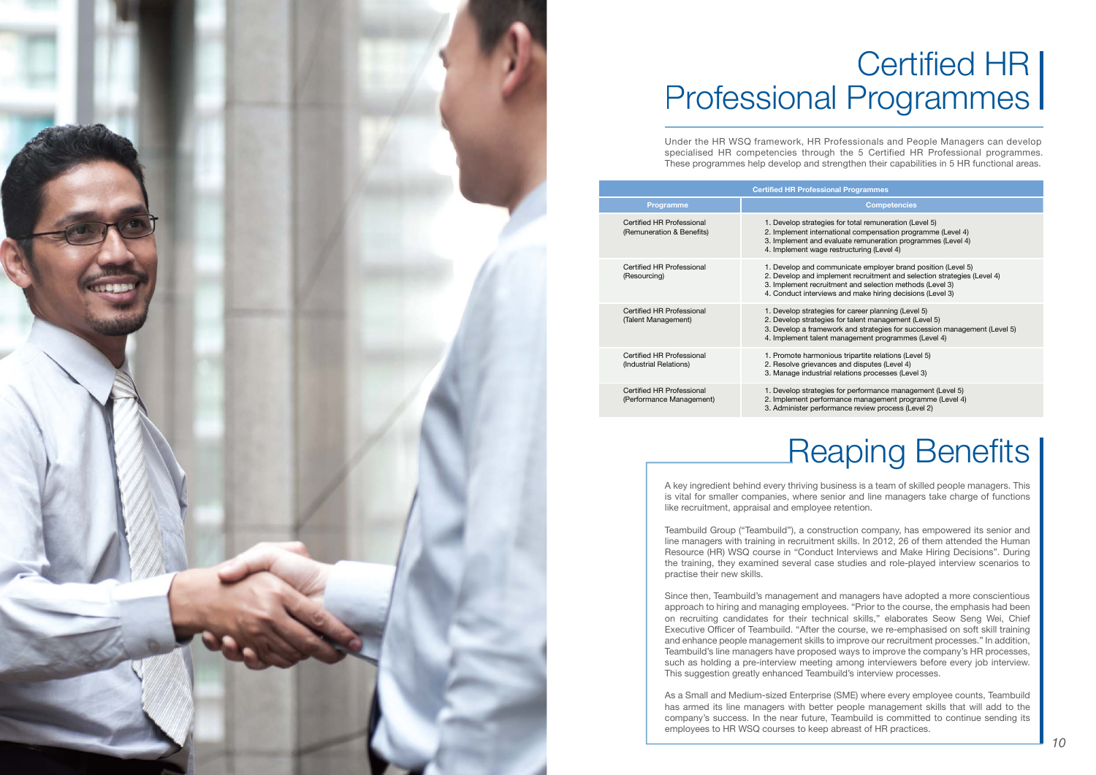A key ingredient behind every thriving business is a team of skilled people managers. This is vital for smaller companies, where senior and line managers take charge of functions like recruitment, appraisal and employee retention.

Teambuild Group ("Teambuild"), a construction company, has empowered its senior and line managers with training in recruitment skills. In 2012, 26 of them attended the Human Resource (HR) WSQ course in "Conduct Interviews and Make Hiring Decisions". During the training, they examined several case studies and role-played interview scenarios to practise their new skills.

Since then, Teambuild's management and managers have adopted a more conscientious approach to hiring and managing employees. "Prior to the course, the emphasis had been on recruiting candidates for their technical skills," elaborates Seow Seng Wei, Chief Executive Officer of Teambuild. "After the course, we re-emphasised on soft skill training and enhance people management skills to improve our recruitment processes." In addition, Teambuild's line managers have proposed ways to improve the company's HR processes, such as holding a pre-interview meeting among interviewers before every job interview. This suggestion greatly enhanced Teambuild's interview processes.

As a Small and Medium-sized Enterprise (SME) where every employee counts, Teambuild has armed its line managers with better people management skills that will add to the company's success. In the near future, Teambuild is committed to continue sending its employees to HR WSQ courses to keep abreast of HR practices.

# Reaping Benefits



## Professional Programmes Certified HR

Under the HR WSQ framework, HR Professionals and People Managers can develop specialised HR competencies through the 5 Certified HR Professional programmes. These programmes help develop and strengthen their capabilities in 5 HR functional areas.

|                                                        | <b>Certified HR Professic</b>                                                              |
|--------------------------------------------------------|--------------------------------------------------------------------------------------------|
| <b>Programme</b>                                       |                                                                                            |
| Certified HR Professional<br>(Remuneration & Benefits) | 1. Develop strategie<br>2. Implement intern<br>3. Implement and e<br>4. Implement wage     |
| Certified HR Professional<br>(Resourcing)              | 1. Develop and com<br>2. Develop and imp<br>3. Implement recrui<br>4. Conduct interviey    |
| Certified HR Professional<br>(Talent Management)       | 1. Develop strategie<br>2. Develop strategie<br>3. Develop a framey<br>4. Implement talent |
| Certified HR Professional<br>(Industrial Relations)    | 1. Promote harmon<br>2. Resolve grievanc<br>3. Manage industria                            |
| Certified HR Professional<br>(Performance Management)  | 1. Develop strategie<br>2. Implement perfor<br>3. Administer perfor                        |

#### **Certified HR Professional Programmes**

#### **Competencies**

- es for total remuneration (Level 5) ational compensation programme (Level 4) valuate remuneration programmes (Level 4) restructuring (Level 4)
- nmunicate employer brand position (Level 5) lement recruitment and selection strategies (Level 4) tment and selection methods (Level 3) ws and make hiring decisions (Level 3)
- es for career planning (Level 5) es for talent management (Level 5) work and strategies for succession management (Level 5) management programmes (Level 4)
- ious tripartite relations (Level 5) es and disputes (Level 4) al relations processes (Level 3)
- es for performance management (Level 5) mance management programme (Level 4) mance review process (Level 2)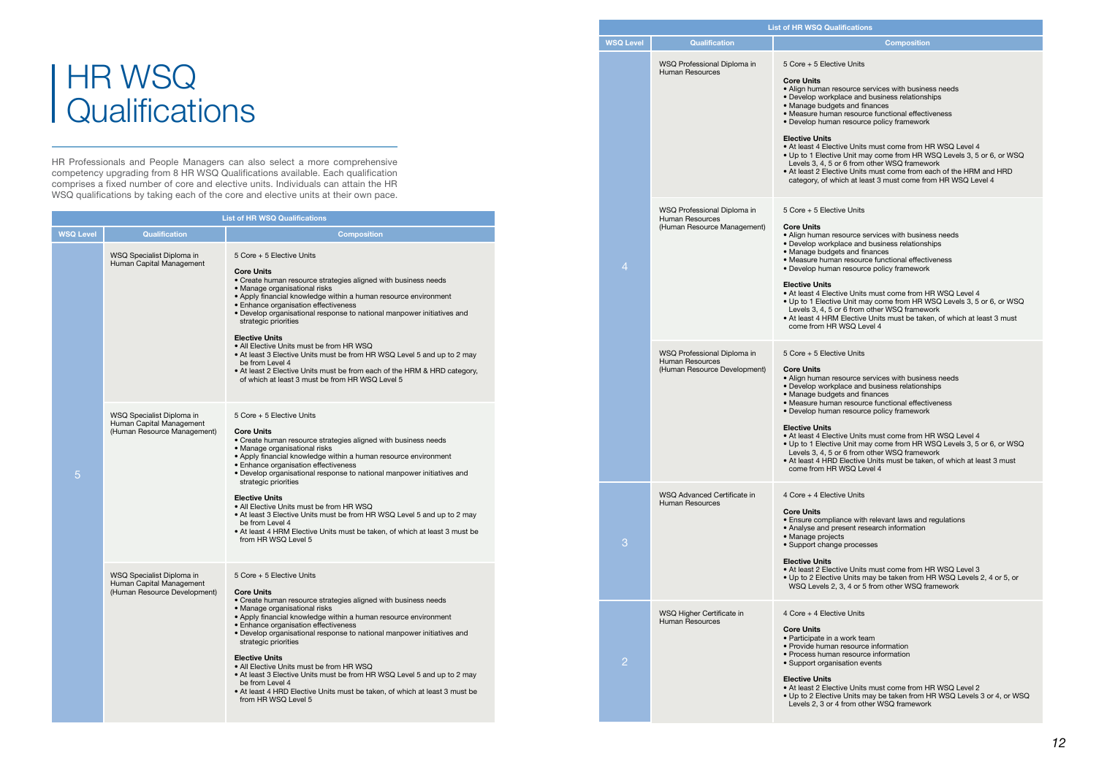# **Qualifications** HR WSQ

HR Professionals and People Managers can also select a more comprehensive competency upgrading from 8 HR WSQ Qualifications available. Each qualification comprises a fixed number of core and elective units. Individuals can attain the HR WSQ qualifications by taking each of the core and elective units at their own pace.

#### **List of HR WSQ Qualifications Composition** ve Units esource services with business needs blace and business relationships ets and finances an resource functional effectiveness **In resource policy framework** tive Units must come from HR WSQ Level 4 e Unit may come from HR WSQ Levels 3, 5 or 6, or WSQ or 6 from other WSQ framework From Electric Hotel Hammers in the Units must come from each of the HRM and HRD nich at least 3 must come from HR WSQ Level 4 ive Units esource services with business needs blace and business relationships  $_{\rm e}$  and finances an resource functional effectiveness **In resource policy framework** tive Units must come from HR WSQ Level 4 ve Unit may come from HR WSQ Levels 3, 5 or 6, or WSQ or 6 from other WSQ framework For entimental and the manufacture.<br>I Elective Units must be taken, of which at least 3 must WSQ Level 4 ve Units esource services with business needs place and business relationships ets and finances an resource functional effectiveness **n** resource policy framework tive Units must come from HR WSQ Level 4 e Unit may come from HR WSQ Levels 3, 5 or 6, or WSQ or 6 from other WSQ framework Elective Units must be taken, of which at least 3 must WSQ Level 4 ive Units ance with relevant laws and regulations resent research information ge processes tive Units must come from HR WSQ Level 3 e Units may be taken from HR WSQ Levels 2, 4 or 5, or 3, 4 or 5 from other WSQ framework ive Units work team resource information n resource information isation events tive Units must come from HR WSQ Level 2 ve Units may be taken from HR WSQ Levels 3 or 4, or WSQ I from other WSQ framework

|  | <b>WSQ Level</b> | <b>Qualification</b>                                                           |                                                                                                                                                                                                                                                                                            |
|--|------------------|--------------------------------------------------------------------------------|--------------------------------------------------------------------------------------------------------------------------------------------------------------------------------------------------------------------------------------------------------------------------------------------|
|  |                  | WSQ Professional Diploma in<br><b>Human Resources</b>                          | 5 Core + 5 Elective<br><b>Core Units</b><br>• Align human reso<br>· Develop workpla<br>• Manage budgets<br>• Measure human<br>· Develop human i<br><b>Elective Units</b><br>• At least 4 Electiv<br>• Up to 1 Elective<br>Levels $3, 4, 5$ or<br>• At least 2 Electiv<br>category, of whic |
|  | 4                | WSQ Professional Diploma in<br>Human Resources<br>(Human Resource Management)  | $5$ Core + 5 Elective<br><b>Core Units</b><br>• Align human reso<br>· Develop workpla<br>· Manage budgets<br>• Measure human<br>· Develop human i<br><b>Elective Units</b><br>• At least 4 Electiv<br>• Up to 1 Elective<br>Levels 3, 4, 5 or<br>• At least 4 HRM E<br>come from HR W      |
|  |                  | WSQ Professional Diploma in<br>Human Resources<br>(Human Resource Development) | $5$ Core + 5 Elective<br><b>Core Units</b><br>• Align human reso<br>· Develop workpla<br>· Manage budgets<br>• Measure human<br>• Develop human ı<br><b>Elective Units</b><br>• At least 4 Electiv<br>• Up to 1 Elective<br>Levels $3, 4, 5$ or<br>• At least 4 HRD E<br>come from HR W    |
|  | З                | WSQ Advanced Certificate in<br>Human Resources                                 | 4 Core + 4 Elective<br><b>Core Units</b><br>• Ensure complian<br>• Analyse and pres<br>· Manage projects<br>• Support change<br><b>Elective Units</b><br>• At least 2 Electiv<br>• Up to 2 Elective<br>WSQ Levels 2, 3                                                                     |
|  |                  | WSQ Higher Certificate in<br>Human Resources                                   | 4 Core + 4 Elective<br><b>Core Units</b><br>· Participate in a w<br>• Provide human r<br>• Process human r<br>· Support organisa<br><b>Elective Units</b><br>• At least 2 Electiv<br>• Up to 2 Elective<br>Levels 2, 3 or 4 f                                                              |

| <b>List of HR WSQ Qualifications</b> |                                                                                       |                                                                                                                                                                                                                                                                                                                                                                                                                                                                                                                                                                                                                                                                  |  |  |
|--------------------------------------|---------------------------------------------------------------------------------------|------------------------------------------------------------------------------------------------------------------------------------------------------------------------------------------------------------------------------------------------------------------------------------------------------------------------------------------------------------------------------------------------------------------------------------------------------------------------------------------------------------------------------------------------------------------------------------------------------------------------------------------------------------------|--|--|
| <b>WSQ Level</b>                     | <b>Qualification</b>                                                                  | <b>Composition</b>                                                                                                                                                                                                                                                                                                                                                                                                                                                                                                                                                                                                                                               |  |  |
|                                      | WSQ Specialist Diploma in<br>Human Capital Management                                 | 5 Core + 5 Elective Units<br><b>Core Units</b><br>• Create human resource strategies aligned with business needs<br>• Manage organisational risks<br>• Apply financial knowledge within a human resource environment<br>• Enhance organisation effectiveness<br>. Develop organisational response to national manpower initiatives and<br>strategic priorities<br><b>Elective Units</b><br>• All Elective Units must be from HR WSQ<br>• At least 3 Elective Units must be from HR WSQ Level 5 and up to 2 may<br>be from Level 4<br>• At least 2 Elective Units must be from each of the HRM & HRD category,<br>of which at least 3 must be from HR WSQ Level 5 |  |  |
| 5                                    | WSQ Specialist Diploma in<br>Human Capital Management<br>(Human Resource Management)  | 5 Core + 5 Elective Units<br><b>Core Units</b><br>• Create human resource strategies aligned with business needs<br>• Manage organisational risks<br>• Apply financial knowledge within a human resource environment<br>• Enhance organisation effectiveness<br>• Develop organisational response to national manpower initiatives and<br>strategic priorities<br><b>Elective Units</b><br>• All Elective Units must be from HR WSQ<br>• At least 3 Elective Units must be from HR WSQ Level 5 and up to 2 may<br>be from Level 4<br>• At least 4 HRM Elective Units must be taken, of which at least 3 must be<br>from HR WSQ Level 5                           |  |  |
|                                      | WSQ Specialist Diploma in<br>Human Capital Management<br>(Human Resource Development) | 5 Core + 5 Elective Units<br><b>Core Units</b><br>• Create human resource strategies aligned with business needs<br>• Manage organisational risks<br>• Apply financial knowledge within a human resource environment<br>• Enhance organisation effectiveness<br>· Develop organisational response to national manpower initiatives and<br>strategic priorities<br><b>Elective Units</b><br>• All Elective Units must be from HR WSQ<br>• At least 3 Elective Units must be from HR WSQ Level 5 and up to 2 may<br>be from Level 4<br>• At least 4 HRD Elective Units must be taken, of which at least 3 must be<br>from HR WSQ Level 5                           |  |  |